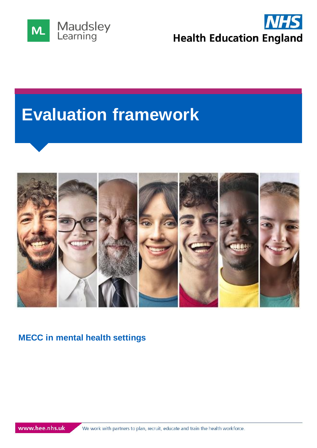



# **Evaluation framework**



#### **MECC in mental health settings**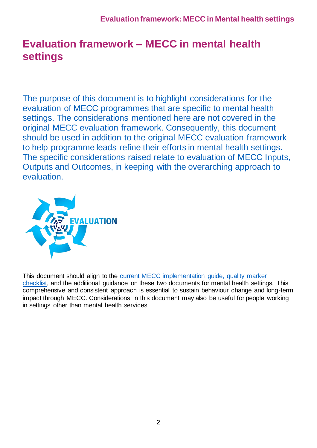# **Evaluation framework – MECC in mental health settings**

The purpose of this document is to highlight considerations for the evaluation of MECC programmes that are specific to mental health settings. The considerations mentioned here are not covered in the original [MECC evaluation framework.](https://www.makingeverycontactcount.co.uk/media/1034/making_every__contact_count__mecc__evaluation_framework_march_2016.pdf) Consequently, this document should be used in addition to the original MECC evaluation framework to help programme leads refine their efforts in mental health settings. The specific considerations raised relate to evaluation of MECC Inputs, Outputs and Outcomes, in keeping with the overarching approach to evaluation.



This document should align to the [current MECC implementation guide, quality marker](https://assets.publishing.service.gov.uk/government/uploads/system/uploads/attachment_data/file/769488/MECC_Implememenation_guide_v2.pdf)  [checklist,](https://assets.publishing.service.gov.uk/government/uploads/system/uploads/attachment_data/file/769488/MECC_Implememenation_guide_v2.pdf) and the additional guidance on these two documents for mental health settings. This comprehensive and consistent approach is essential to sustain behaviour change and long-term impact through MECC. Considerations in this document may also be useful for people working in settings other than mental health services.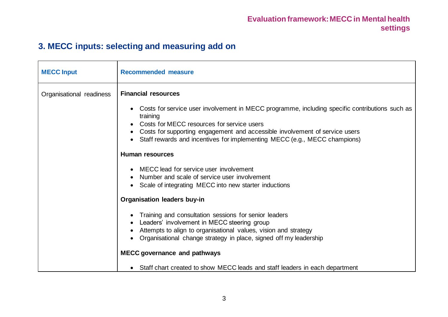# **3. MECC inputs: selecting and measuring add on**

| <b>MECC Input</b>        | <b>Recommended measure</b>                                                                                                                                                                                                                                                                                                                                                                                                                                                                                                                                                                                                                                                    |
|--------------------------|-------------------------------------------------------------------------------------------------------------------------------------------------------------------------------------------------------------------------------------------------------------------------------------------------------------------------------------------------------------------------------------------------------------------------------------------------------------------------------------------------------------------------------------------------------------------------------------------------------------------------------------------------------------------------------|
| Organisational readiness | <b>Financial resources</b><br>Costs for service user involvement in MECC programme, including specific contributions such as<br>training<br>Costs for MECC resources for service users<br>Costs for supporting engagement and accessible involvement of service users<br>Staff rewards and incentives for implementing MECC (e.g., MECC champions)<br><b>Human resources</b><br>MECC lead for service user involvement<br>Number and scale of service user involvement<br>Scale of integrating MECC into new starter inductions<br><b>Organisation leaders buy-in</b><br>Training and consultation sessions for senior leaders<br>Leaders' involvement in MECC steering group |
|                          | Attempts to align to organisational values, vision and strategy<br>Organisational change strategy in place, signed off my leadership                                                                                                                                                                                                                                                                                                                                                                                                                                                                                                                                          |
|                          | <b>MECC governance and pathways</b>                                                                                                                                                                                                                                                                                                                                                                                                                                                                                                                                                                                                                                           |
|                          | • Staff chart created to show MECC leads and staff leaders in each department                                                                                                                                                                                                                                                                                                                                                                                                                                                                                                                                                                                                 |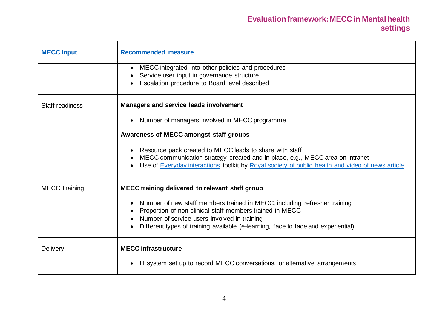| <b>MECC Input</b>      | <b>Recommended measure</b>                                                                                                                                                                                                                                                 |
|------------------------|----------------------------------------------------------------------------------------------------------------------------------------------------------------------------------------------------------------------------------------------------------------------------|
|                        | MECC integrated into other policies and procedures<br>$\bullet$<br>Service user input in governance structure<br>Escalation procedure to Board level described                                                                                                             |
| <b>Staff readiness</b> | <b>Managers and service leads involvement</b>                                                                                                                                                                                                                              |
|                        | Number of managers involved in MECC programme<br>$\bullet$                                                                                                                                                                                                                 |
|                        | Awareness of MECC amongst staff groups                                                                                                                                                                                                                                     |
|                        | Resource pack created to MECC leads to share with staff<br>MECC communication strategy created and in place, e.g., MECC area on intranet<br>Use of Everyday interactions toolkit by Royal society of public health and video of news article                               |
| <b>MECC Training</b>   | MECC training delivered to relevant staff group                                                                                                                                                                                                                            |
|                        | Number of new staff members trained in MECC, including refresher training<br>Proportion of non-clinical staff members trained in MECC<br>Number of service users involved in training<br>Different types of training available (e-learning, face to face and experiential) |
| <b>Delivery</b>        | <b>MECC</b> infrastructure<br>IT system set up to record MECC conversations, or alternative arrangements                                                                                                                                                                   |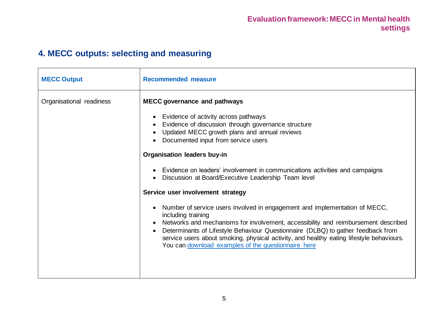# **4. MECC outputs: selecting and measuring**

| <b>MECC Output</b>       | <b>Recommended measure</b>                                                                                                                                                                                                                                                                                                                                                                                                    |
|--------------------------|-------------------------------------------------------------------------------------------------------------------------------------------------------------------------------------------------------------------------------------------------------------------------------------------------------------------------------------------------------------------------------------------------------------------------------|
| Organisational readiness | <b>MECC governance and pathways</b>                                                                                                                                                                                                                                                                                                                                                                                           |
|                          | • Evidence of activity across pathways<br>Evidence of discussion through governance structure<br>$\bullet$<br>Updated MECC growth plans and annual reviews<br>Documented input from service users                                                                                                                                                                                                                             |
|                          | <b>Organisation leaders buy-in</b>                                                                                                                                                                                                                                                                                                                                                                                            |
|                          | Evidence on leaders' involvement in communications activities and campaigns<br>Discussion at Board/Executive Leadership Team level                                                                                                                                                                                                                                                                                            |
|                          | Service user involvement strategy                                                                                                                                                                                                                                                                                                                                                                                             |
|                          | Number of service users involved in engagement and implementation of MECC,<br>including training<br>Networks and mechanisms for involvement, accessibility and reimbursement described<br>Determinants of Lifestyle Behaviour Questionnaire (DLBQ) to gather feedback from<br>service users about smoking, physical activity, and healthy eating lifestyle behaviours.<br>You can download examples of the questionnaire here |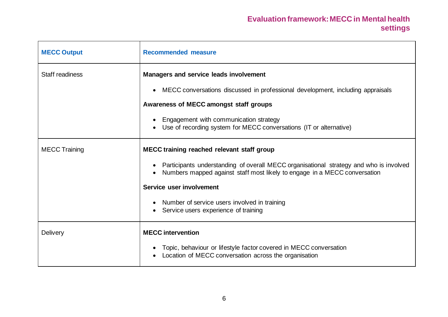#### **Evaluation framework: MECC in Mental health settings**

| <b>MECC Output</b>   | <b>Recommended measure</b>                                                                                                                                          |
|----------------------|---------------------------------------------------------------------------------------------------------------------------------------------------------------------|
| Staff readiness      | Managers and service leads involvement                                                                                                                              |
|                      | • MECC conversations discussed in professional development, including appraisals                                                                                    |
|                      | Awareness of MECC amongst staff groups                                                                                                                              |
|                      | Engagement with communication strategy<br>Use of recording system for MECC conversations (IT or alternative)                                                        |
| <b>MECC Training</b> | MECC training reached relevant staff group                                                                                                                          |
|                      | Participants understanding of overall MECC organisational strategy and who is involved<br>Numbers mapped against staff most likely to engage in a MECC conversation |
|                      | Service user involvement                                                                                                                                            |
|                      | • Number of service users involved in training<br>Service users experience of training<br>$\bullet$                                                                 |
| <b>Delivery</b>      | <b>MECC</b> intervention                                                                                                                                            |
|                      | Topic, behaviour or lifestyle factor covered in MECC conversation<br>Location of MECC conversation across the organisation                                          |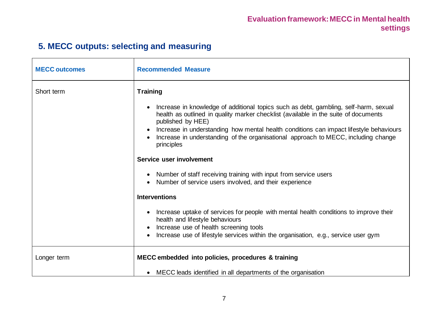# **5. MECC outputs: selecting and measuring**

| <b>MECC outcomes</b> | <b>Recommended Measure</b>                                                                                                                                                                                                                                                                                                                                                                       |
|----------------------|--------------------------------------------------------------------------------------------------------------------------------------------------------------------------------------------------------------------------------------------------------------------------------------------------------------------------------------------------------------------------------------------------|
| Short term           | <b>Training</b>                                                                                                                                                                                                                                                                                                                                                                                  |
|                      | Increase in knowledge of additional topics such as debt, gambling, self-harm, sexual<br>health as outlined in quality marker checklist (available in the suite of documents<br>published by HEE)<br>• Increase in understanding how mental health conditions can impact lifestyle behaviours<br>Increase in understanding of the organisational approach to MECC, including change<br>principles |
|                      | Service user involvement                                                                                                                                                                                                                                                                                                                                                                         |
|                      | • Number of staff receiving training with input from service users<br>Number of service users involved, and their experience                                                                                                                                                                                                                                                                     |
|                      | <b>Interventions</b>                                                                                                                                                                                                                                                                                                                                                                             |
|                      | Increase uptake of services for people with mental health conditions to improve their<br>health and lifestyle behaviours<br>Increase use of health screening tools<br>Increase use of lifestyle services within the organisation, e.g., service user gym                                                                                                                                         |
| Longer term          | MECC embedded into policies, procedures & training                                                                                                                                                                                                                                                                                                                                               |
|                      | MECC leads identified in all departments of the organisation                                                                                                                                                                                                                                                                                                                                     |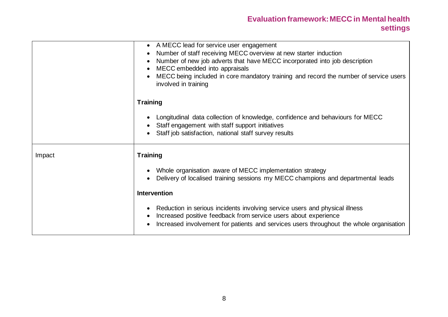#### **Evaluation framework: MECC in Mental health settings**

|        | • A MECC lead for service user engagement<br>Number of staff receiving MECC overview at new starter induction<br>Number of new job adverts that have MECC incorporated into job description<br>MECC embedded into appraisals<br>MECC being included in core mandatory training and record the number of service users<br>involved in training |
|--------|-----------------------------------------------------------------------------------------------------------------------------------------------------------------------------------------------------------------------------------------------------------------------------------------------------------------------------------------------|
|        | <b>Training</b>                                                                                                                                                                                                                                                                                                                               |
|        | Longitudinal data collection of knowledge, confidence and behaviours for MECC<br>Staff engagement with staff support initiatives<br>Staff job satisfaction, national staff survey results                                                                                                                                                     |
| Impact | <b>Training</b>                                                                                                                                                                                                                                                                                                                               |
|        | Whole organisation aware of MECC implementation strategy<br>Delivery of localised training sessions my MECC champions and departmental leads                                                                                                                                                                                                  |
|        | Intervention                                                                                                                                                                                                                                                                                                                                  |
|        | Reduction in serious incidents involving service users and physical illness<br>Increased positive feedback from service users about experience<br>Increased involvement for patients and services users throughout the whole organisation                                                                                                     |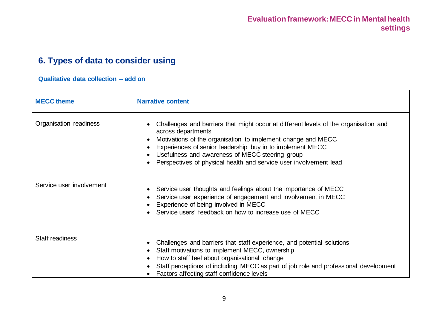#### **6. Types of data to consider using**

#### **Qualitative data collection – add on**

| <b>MECC theme</b>        | <b>Narrative content</b>                                                                                                                                                                                                                                                                                                                                        |
|--------------------------|-----------------------------------------------------------------------------------------------------------------------------------------------------------------------------------------------------------------------------------------------------------------------------------------------------------------------------------------------------------------|
| Organisation readiness   | Challenges and barriers that might occur at different levels of the organisation and<br>across departments<br>Motivations of the organisation to implement change and MECC<br>Experiences of senior leadership buy in to implement MECC<br>Usefulness and awareness of MECC steering group<br>Perspectives of physical health and service user involvement lead |
| Service user involvement | Service user thoughts and feelings about the importance of MECC<br>Service user experience of engagement and involvement in MECC<br>Experience of being involved in MECC<br>Service users' feedback on how to increase use of MECC                                                                                                                              |
| Staff readiness          | Challenges and barriers that staff experience, and potential solutions<br>Staff motivations to implement MECC, ownership<br>How to staff feel about organisational change<br>Staff perceptions of including MECC as part of job role and professional development<br>Factors affecting staff confidence levels                                                  |